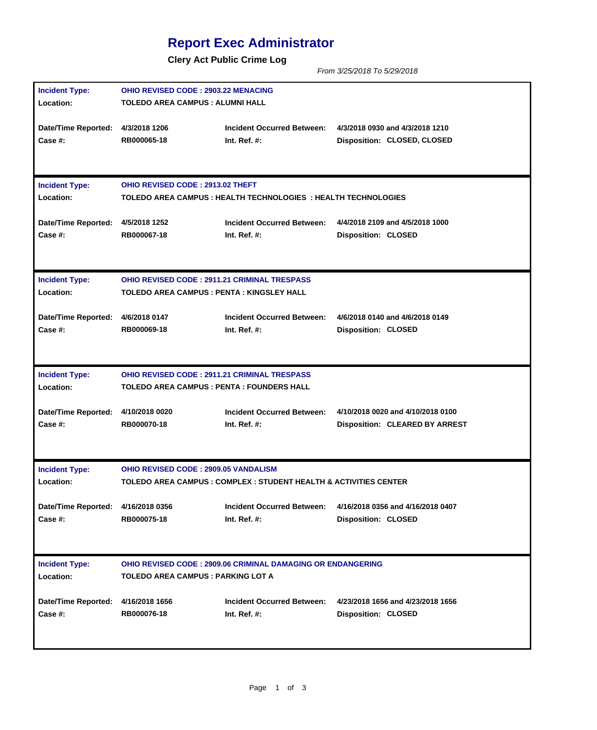## **Report Exec Administrator**

**Clery Act Public Crime Log**

*From 3/25/2018 To 5/29/2018*

| <b>Incident Type:</b>                         |                                                                     | <b>OHIO REVISED CODE: 2903.22 MENACING</b>                        |                                       |  |  |  |  |  |
|-----------------------------------------------|---------------------------------------------------------------------|-------------------------------------------------------------------|---------------------------------------|--|--|--|--|--|
| Location:                                     | TOLEDO AREA CAMPUS : ALUMNI HALL                                    |                                                                   |                                       |  |  |  |  |  |
|                                               |                                                                     |                                                                   |                                       |  |  |  |  |  |
| Date/Time Reported: 4/3/2018 1206             |                                                                     | <b>Incident Occurred Between:</b>                                 | 4/3/2018 0930 and 4/3/2018 1210       |  |  |  |  |  |
| <b>Case #:</b>                                | RB000065-18                                                         | Int. Ref. $#$ :                                                   | Disposition: CLOSED, CLOSED           |  |  |  |  |  |
|                                               |                                                                     |                                                                   |                                       |  |  |  |  |  |
|                                               |                                                                     |                                                                   |                                       |  |  |  |  |  |
| <b>Incident Type:</b>                         | OHIO REVISED CODE: 2913.02 THEFT                                    |                                                                   |                                       |  |  |  |  |  |
| Location:                                     |                                                                     |                                                                   |                                       |  |  |  |  |  |
|                                               |                                                                     | TOLEDO AREA CAMPUS : HEALTH TECHNOLOGIES : HEALTH TECHNOLOGIES    |                                       |  |  |  |  |  |
| Date/Time Reported: 4/5/2018 1252             |                                                                     | <b>Incident Occurred Between:</b>                                 | 4/4/2018 2109 and 4/5/2018 1000       |  |  |  |  |  |
| Case #:                                       | RB000067-18                                                         | Int. Ref. $#$ :                                                   | <b>Disposition: CLOSED</b>            |  |  |  |  |  |
|                                               |                                                                     |                                                                   |                                       |  |  |  |  |  |
|                                               |                                                                     |                                                                   |                                       |  |  |  |  |  |
| <b>Incident Type:</b>                         | <b>OHIO REVISED CODE: 2911.21 CRIMINAL TRESPASS</b>                 |                                                                   |                                       |  |  |  |  |  |
| Location:                                     | TOLEDO AREA CAMPUS : PENTA : KINGSLEY HALL                          |                                                                   |                                       |  |  |  |  |  |
|                                               |                                                                     |                                                                   |                                       |  |  |  |  |  |
| Date/Time Reported: 4/6/2018 0147             |                                                                     | <b>Incident Occurred Between:</b>                                 | 4/6/2018 0140 and 4/6/2018 0149       |  |  |  |  |  |
| Case #:                                       | RB000069-18                                                         | Int. Ref. $#$ :                                                   | <b>Disposition: CLOSED</b>            |  |  |  |  |  |
|                                               |                                                                     |                                                                   |                                       |  |  |  |  |  |
|                                               |                                                                     |                                                                   |                                       |  |  |  |  |  |
| <b>Incident Type:</b>                         | <b>OHIO REVISED CODE : 2911.21 CRIMINAL TRESPASS</b>                |                                                                   |                                       |  |  |  |  |  |
| Location:                                     | TOLEDO AREA CAMPUS : PENTA : FOUNDERS HALL                          |                                                                   |                                       |  |  |  |  |  |
|                                               |                                                                     |                                                                   |                                       |  |  |  |  |  |
| Date/Time Reported: 4/10/2018 0020            |                                                                     | <b>Incident Occurred Between:</b>                                 | 4/10/2018 0020 and 4/10/2018 0100     |  |  |  |  |  |
| Case #:                                       | RB000070-18                                                         | Int. Ref. $#$ :                                                   | <b>Disposition: CLEARED BY ARREST</b> |  |  |  |  |  |
|                                               |                                                                     |                                                                   |                                       |  |  |  |  |  |
|                                               |                                                                     |                                                                   |                                       |  |  |  |  |  |
| <b>Incident Type:</b>                         |                                                                     | <b>OHIO REVISED CODE: 2909.05 VANDALISM</b>                       |                                       |  |  |  |  |  |
| Location:                                     |                                                                     | TOLEDO AREA CAMPUS : COMPLEX : STUDENT HEALTH & ACTIVITIES CENTER |                                       |  |  |  |  |  |
|                                               |                                                                     |                                                                   |                                       |  |  |  |  |  |
| Date/Time Reported: 4/16/2018 0356            |                                                                     | <b>Incident Occurred Between:</b>                                 | 4/16/2018 0356 and 4/16/2018 0407     |  |  |  |  |  |
| Case #:                                       | RB000075-18                                                         | Int. Ref. $#$ :                                                   | <b>Disposition: CLOSED</b>            |  |  |  |  |  |
|                                               |                                                                     |                                                                   |                                       |  |  |  |  |  |
|                                               |                                                                     |                                                                   |                                       |  |  |  |  |  |
| <b>Incident Type:</b>                         | <b>OHIO REVISED CODE : 2909.06 CRIMINAL DAMAGING OR ENDANGERING</b> |                                                                   |                                       |  |  |  |  |  |
| Location:                                     | TOLEDO AREA CAMPUS : PARKING LOT A                                  |                                                                   |                                       |  |  |  |  |  |
|                                               |                                                                     |                                                                   |                                       |  |  |  |  |  |
|                                               |                                                                     |                                                                   |                                       |  |  |  |  |  |
|                                               |                                                                     | <b>Incident Occurred Between:</b>                                 | 4/23/2018 1656 and 4/23/2018 1656     |  |  |  |  |  |
| Date/Time Reported: 4/16/2018 1656<br>Case #: | RB000076-18                                                         | Int. Ref. $#$ :                                                   | <b>Disposition: CLOSED</b>            |  |  |  |  |  |
|                                               |                                                                     |                                                                   |                                       |  |  |  |  |  |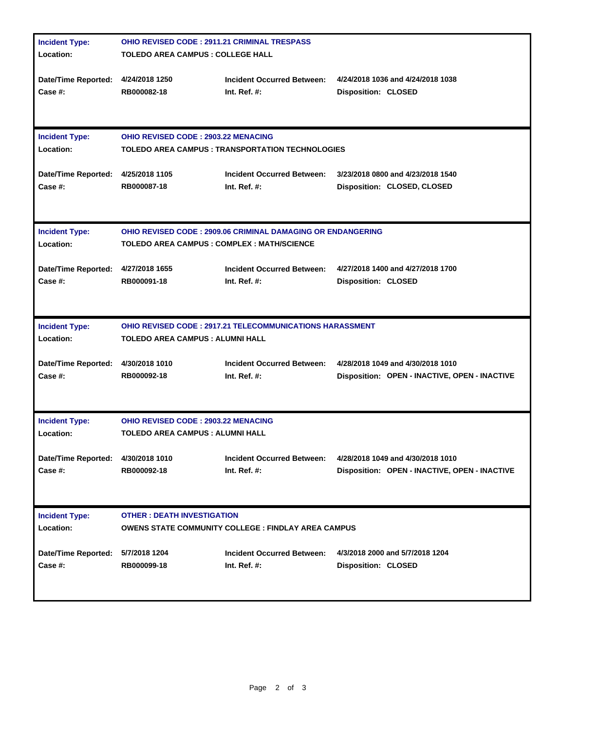| <b>Incident Type:</b>                         | <b>OHIO REVISED CODE: 2911.21 CRIMINAL TRESPASS</b>                            |                                                            |                                                                                    |  |  |  |
|-----------------------------------------------|--------------------------------------------------------------------------------|------------------------------------------------------------|------------------------------------------------------------------------------------|--|--|--|
| Location:                                     | <b>TOLEDO AREA CAMPUS : COLLEGE HALL</b>                                       |                                                            |                                                                                    |  |  |  |
| Date/Time Reported: 4/24/2018 1250            | RB000082-18                                                                    | <b>Incident Occurred Between:</b>                          | 4/24/2018 1036 and 4/24/2018 1038                                                  |  |  |  |
| Case #:                                       |                                                                                | Int. Ref. $#$ :                                            | <b>Disposition: CLOSED</b>                                                         |  |  |  |
| <b>Incident Type:</b>                         | <b>OHIO REVISED CODE: 2903.22 MENACING</b>                                     |                                                            |                                                                                    |  |  |  |
| Location:                                     | <b>TOLEDO AREA CAMPUS : TRANSPORTATION TECHNOLOGIES</b>                        |                                                            |                                                                                    |  |  |  |
| <b>Date/Time Reported:</b>                    | 4/25/2018 1105                                                                 | <b>Incident Occurred Between:</b>                          | 3/23/2018 0800 and 4/23/2018 1540                                                  |  |  |  |
| Case #:                                       | RB000087-18                                                                    | Int. Ref. $#$ :                                            | Disposition: CLOSED, CLOSED                                                        |  |  |  |
| <b>Incident Type:</b>                         | <b>OHIO REVISED CODE: 2909.06 CRIMINAL DAMAGING OR ENDANGERING</b>             |                                                            |                                                                                    |  |  |  |
| Location:                                     | TOLEDO AREA CAMPUS : COMPLEX : MATH/SCIENCE                                    |                                                            |                                                                                    |  |  |  |
| Date/Time Reported: 4/27/2018 1655            | RB000091-18                                                                    | <b>Incident Occurred Between:</b>                          | 4/27/2018 1400 and 4/27/2018 1700                                                  |  |  |  |
| Case #:                                       |                                                                                | Int. Ref. $#$ :                                            | <b>Disposition: CLOSED</b>                                                         |  |  |  |
| <b>Incident Type:</b>                         | <b>OHIO REVISED CODE : 2917.21 TELECOMMUNICATIONS HARASSMENT</b>               |                                                            |                                                                                    |  |  |  |
| Location:                                     | <b>TOLEDO AREA CAMPUS : ALUMNI HALL</b>                                        |                                                            |                                                                                    |  |  |  |
| Date/Time Reported: 4/30/2018 1010<br>Case #: | RB000092-18                                                                    | <b>Incident Occurred Between:</b>                          | 4/28/2018 1049 and 4/30/2018 1010<br>Disposition: OPEN - INACTIVE, OPEN - INACTIVE |  |  |  |
|                                               |                                                                                | Int. Ref. $#$ :                                            |                                                                                    |  |  |  |
| <b>Incident Type:</b><br>Location:            | <b>OHIO REVISED CODE: 2903.22 MENACING</b><br>TOLEDO AREA CAMPUS : ALUMNI HALL |                                                            |                                                                                    |  |  |  |
| Date/Time Reported: 4/30/2018 1010            | RB000092-18                                                                    | Incident Occurred Between:                                 | 4/28/2018 1049 and 4/30/2018 1010                                                  |  |  |  |
| Case #:                                       |                                                                                | Int. Ref. $#$ :                                            | Disposition: OPEN - INACTIVE, OPEN - INACTIVE                                      |  |  |  |
| <b>Incident Type:</b><br>Location:            | <b>OTHER: DEATH INVESTIGATION</b>                                              | <b>OWENS STATE COMMUNITY COLLEGE : FINDLAY AREA CAMPUS</b> |                                                                                    |  |  |  |